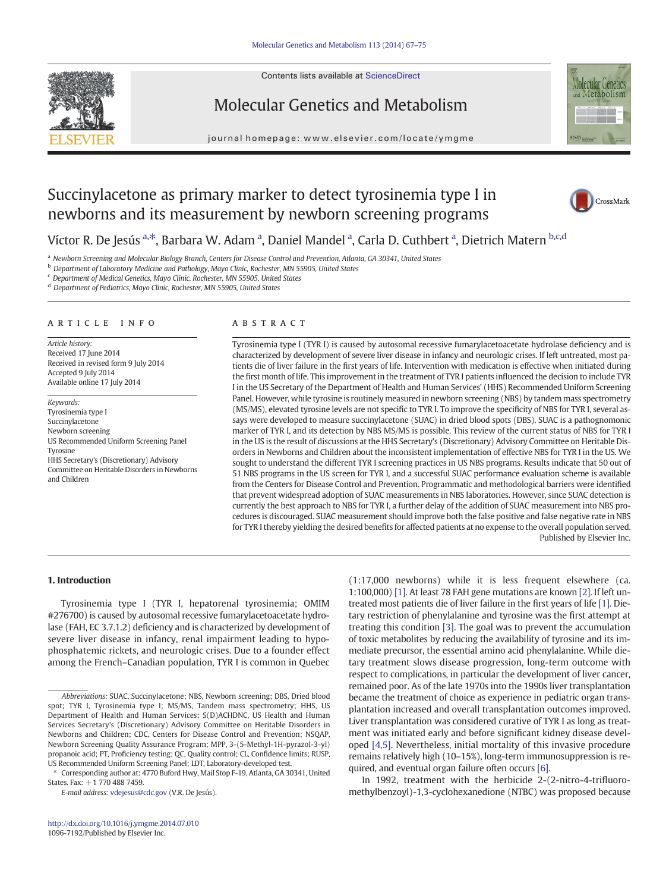Contents lists available at ScienceDirect



# Molecular Genetics and Metabolism

journal homepage: www.elsevier.com/locate/ymgme



# Succinylacetone as primary marker to detect tyrosinemia type I in newborns and its measurement by newborn screening programs



# Víctor R. De Jesús <sup>a, $\ast$ </sup>, Barbara W. Adam <sup>a</sup>, Daniel Mandel <sup>a</sup>, Carla D. Cuthbert <sup>a</sup>, Dietrich Matern <sup>b,c,d</sup>

<sup>a</sup> Newborn Screening and Molecular Biology Branch, Centers for Disease Control and Prevention, Atlanta, GA 30341, United States

<sup>b</sup> Department of Laboratory Medicine and Pathology, Mayo Clinic, Rochester, MN 55905, United States

<sup>c</sup> Department of Medical Genetics, Mayo Clinic, Rochester, MN 55905, United States

<sup>d</sup> Department of Pediatrics, Mayo Clinic, Rochester, MN 55905, United States

#### article info abstract

Article history: Received 17 June 2014 Received in revised form 9 July 2014 Accepted 9 July 2014 Available online 17 July 2014

Keywords: Tyrosinemia type I **Succinylacetone** Newborn screening US Recommended Uniform Screening Panel Tyrosine HHS Secretary's (Discretionary) Advisory Committee on Heritable Disorders in Newborns and Children

Tyrosinemia type I (TYR I) is caused by autosomal recessive fumarylacetoacetate hydrolase deficiency and is characterized by development of severe liver disease in infancy and neurologic crises. If left untreated, most patients die of liver failure in the first years of life. Intervention with medication is effective when initiated during the first month of life. This improvement in the treatment of TYR I patients influenced the decision to include TYR I in the US Secretary of the Department of Health and Human Services' (HHS) Recommended Uniform Screening Panel. However, while tyrosine is routinely measured in newborn screening (NBS) by tandem mass spectrometry (MS/MS), elevated tyrosine levels are not specific to TYR I. To improve the specificity of NBS for TYR I, several assays were developed to measure succinylacetone (SUAC) in dried blood spots (DBS). SUAC is a pathognomonic marker of TYR I, and its detection by NBS MS/MS is possible. This review of the current status of NBS for TYR I in the US is the result of discussions at the HHS Secretary's (Discretionary) Advisory Committee on Heritable Disorders in Newborns and Children about the inconsistent implementation of effective NBS for TYR I in the US. We sought to understand the different TYR I screening practices in US NBS programs. Results indicate that 50 out of 51 NBS programs in the US screen for TYR I, and a successful SUAC performance evaluation scheme is available from the Centers for Disease Control and Prevention. Programmatic and methodological barriers were identified that prevent widespread adoption of SUAC measurements in NBS laboratories. However, since SUAC detection is currently the best approach to NBS for TYR I, a further delay of the addition of SUAC measurement into NBS procedures is discouraged. SUAC measurement should improve both the false positive and false negative rate in NBS for TYR I thereby yielding the desired benefits for affected patients at no expense to the overall population served. Published by Elsevier Inc.

# 1. Introduction

Tyrosinemia type I (TYR I, hepatorenal tyrosinemia; OMIM #276700) is caused by autosomal recessive fumarylacetoacetate hydrolase (FAH, EC 3.7.1.2) deficiency and is characterized by development of severe liver disease in infancy, renal impairment leading to hypophosphatemic rickets, and neurologic crises. Due to a founder effect among the French–Canadian population, TYR I is common in Quebec

⁎ Corresponding author at: 4770 Buford Hwy, Mail Stop F-19, Atlanta, GA 30341, United States. Fax: +1 770 488 7459.

E-mail address: [vdejesus@cdc.gov](mailto:vdejesus@cdc.gov) (V.R. De Jesús).

(1:17,000 newborns) while it is less frequent elsewhere (ca. 1:100,000) [\[1\]](#page-8-0). At least 78 FAH gene mutations are known [\[2\].](#page-8-0) If left untreated most patients die of liver failure in the first years of life [\[1\].](#page-8-0) Dietary restriction of phenylalanine and tyrosine was the first attempt at treating this condition [\[3\]](#page-8-0). The goal was to prevent the accumulation of toxic metabolites by reducing the availability of tyrosine and its immediate precursor, the essential amino acid phenylalanine. While dietary treatment slows disease progression, long-term outcome with respect to complications, in particular the development of liver cancer, remained poor. As of the late 1970s into the 1990s liver transplantation became the treatment of choice as experience in pediatric organ transplantation increased and overall transplantation outcomes improved. Liver transplantation was considered curative of TYR I as long as treatment was initiated early and before significant kidney disease developed [\[4,5\]](#page-8-0). Nevertheless, initial mortality of this invasive procedure remains relatively high (10–15%), long-term immunosuppression is required, and eventual organ failure often occurs [\[6\]](#page-8-0).

In 1992, treatment with the herbicide 2-(2-nitro-4-trifluoromethylbenzoyl)-1,3-cyclohexanedione (NTBC) was proposed because

Abbreviations: SUAC, Succinylacetone; NBS, Newborn screening; DBS, Dried blood spot; TYR I, Tyrosinemia type I; MS/MS, Tandem mass spectrometry; HHS, US Department of Health and Human Services; S(D)ACHDNC, US Health and Human Services Secretary's (Discretionary) Advisory Committee on Heritable Disorders in Newborns and Children; CDC, Centers for Disease Control and Prevention; NSQAP, Newborn Screening Quality Assurance Program; MPP, 3-(5-Methyl-1H-pyrazol-3-yl) propanoic acid; PT, Proficiency testing; QC, Quality control; CL, Confidence limits; RUSP, US Recommended Uniform Screening Panel; LDT, Laboratory-developed test.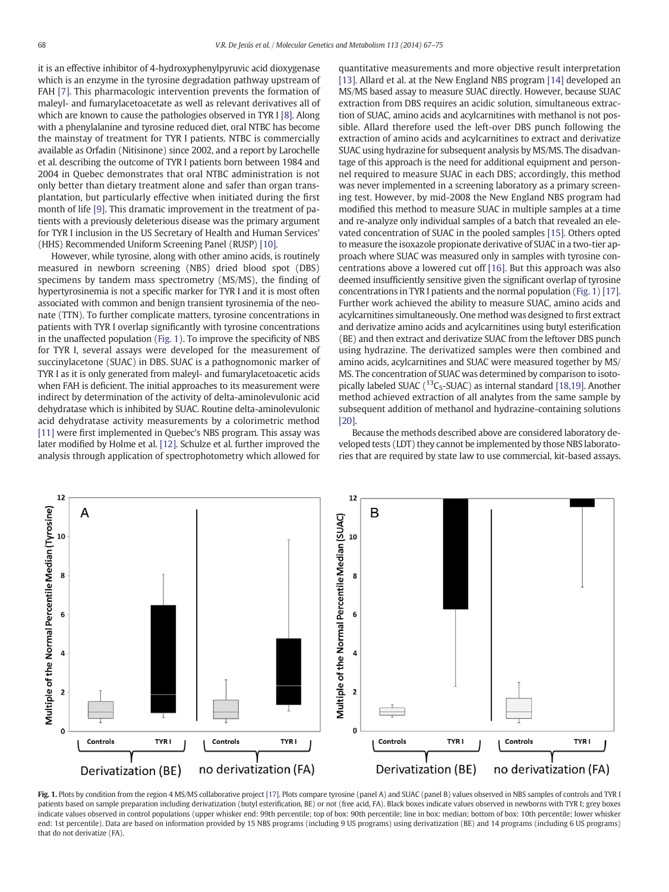<span id="page-1-0"></span>it is an effective inhibitor of 4-hydroxyphenylpyruvic acid dioxygenase which is an enzyme in the tyrosine degradation pathway upstream of FAH [\[7\].](#page-8-0) This pharmacologic intervention prevents the formation of maleyl- and fumarylacetoacetate as well as relevant derivatives all of which are known to cause the pathologies observed in TYR I [\[8\]](#page-8-0). Along with a phenylalanine and tyrosine reduced diet, oral NTBC has become the mainstay of treatment for TYR I patients. NTBC is commercially available as Orfadin (Nitisinone) since 2002, and a report by Larochelle et al. describing the outcome of TYR I patients born between 1984 and 2004 in Quebec demonstrates that oral NTBC administration is not only better than dietary treatment alone and safer than organ transplantation, but particularly effective when initiated during the first month of life [\[9\]](#page-8-0). This dramatic improvement in the treatment of patients with a previously deleterious disease was the primary argument for TYR I inclusion in the US Secretary of Health and Human Services' (HHS) Recommended Uniform Screening Panel (RUSP) [\[10\].](#page-8-0)

However, while tyrosine, along with other amino acids, is routinely measured in newborn screening (NBS) dried blood spot (DBS) specimens by tandem mass spectrometry (MS/MS), the finding of hypertyrosinemia is not a specific marker for TYR I and it is most often associated with common and benign transient tyrosinemia of the neonate (TTN). To further complicate matters, tyrosine concentrations in patients with TYR I overlap significantly with tyrosine concentrations in the unaffected population (Fig. 1). To improve the specificity of NBS for TYR I, several assays were developed for the measurement of succinylacetone (SUAC) in DBS. SUAC is a pathognomonic marker of TYR I as it is only generated from maleyl- and fumarylacetoacetic acids when FAH is deficient. The initial approaches to its measurement were indirect by determination of the activity of delta-aminolevulonic acid dehydratase which is inhibited by SUAC. Routine delta-aminolevulonic acid dehydratase activity measurements by a colorimetric method [\[11\]](#page-8-0) were first implemented in Quebec's NBS program. This assay was later modified by Holme et al. [\[12\].](#page-8-0) Schulze et al. further improved the analysis through application of spectrophotometry which allowed for quantitative measurements and more objective result interpretation [\[13\]](#page-8-0). Allard et al. at the New England NBS program [\[14\]](#page-8-0) developed an MS/MS based assay to measure SUAC directly. However, because SUAC extraction from DBS requires an acidic solution, simultaneous extraction of SUAC, amino acids and acylcarnitines with methanol is not possible. Allard therefore used the left-over DBS punch following the extraction of amino acids and acylcarnitines to extract and derivatize SUAC using hydrazine for subsequent analysis by MS/MS. The disadvantage of this approach is the need for additional equipment and personnel required to measure SUAC in each DBS; accordingly, this method was never implemented in a screening laboratory as a primary screening test. However, by mid-2008 the New England NBS program had modified this method to measure SUAC in multiple samples at a time and re-analyze only individual samples of a batch that revealed an elevated concentration of SUAC in the pooled samples [\[15\]](#page-8-0). Others opted to measure the isoxazole propionate derivative of SUAC in a two-tier approach where SUAC was measured only in samples with tyrosine concentrations above a lowered cut off [\[16\].](#page-8-0) But this approach was also deemed insufficiently sensitive given the significant overlap of tyrosine concentrations in TYR I patients and the normal population (Fig. 1) [\[17\].](#page-8-0) Further work achieved the ability to measure SUAC, amino acids and acylcarnitines simultaneously. One method was designed to first extract and derivatize amino acids and acylcarnitines using butyl esterification (BE) and then extract and derivatize SUAC from the leftover DBS punch using hydrazine. The derivatized samples were then combined and amino acids, acylcarnitines and SUAC were measured together by MS/ MS. The concentration of SUAC was determined by comparison to isotopically labeled SUAC ( ${}^{13}C_5$ -SUAC) as internal standard [\[18,19\].](#page-8-0) Another method achieved extraction of all analytes from the same sample by subsequent addition of methanol and hydrazine-containing solutions [\[20\]](#page-8-0).

Because the methods described above are considered laboratory developed tests (LDT) they cannot be implemented by those NBS laboratories that are required by state law to use commercial, kit-based assays.



Fig. 1. Plots by condition from the region 4 MS/MS collaborative project [\[17\]](#page-8-0). Plots compare tyrosine (panel A) and SUAC (panel B) values observed in NBS samples of controls and TYR I patients based on sample preparation including derivatization (butyl esterification, BE) or not (free acid, FA). Black boxes indicate values observed in newborns with TYR I; grey boxes indicate values observed in control populations (upper whisker end: 99th percentile; top of box: 90th percentile; line in box: median; bottom of box: 10th percentile; lower whisker end: 1st percentile). Data are based on information provided by 15 NBS programs (including 9 US programs) using derivatization (BE) and 14 programs (including 6 US programs) that do not derivatize (FA).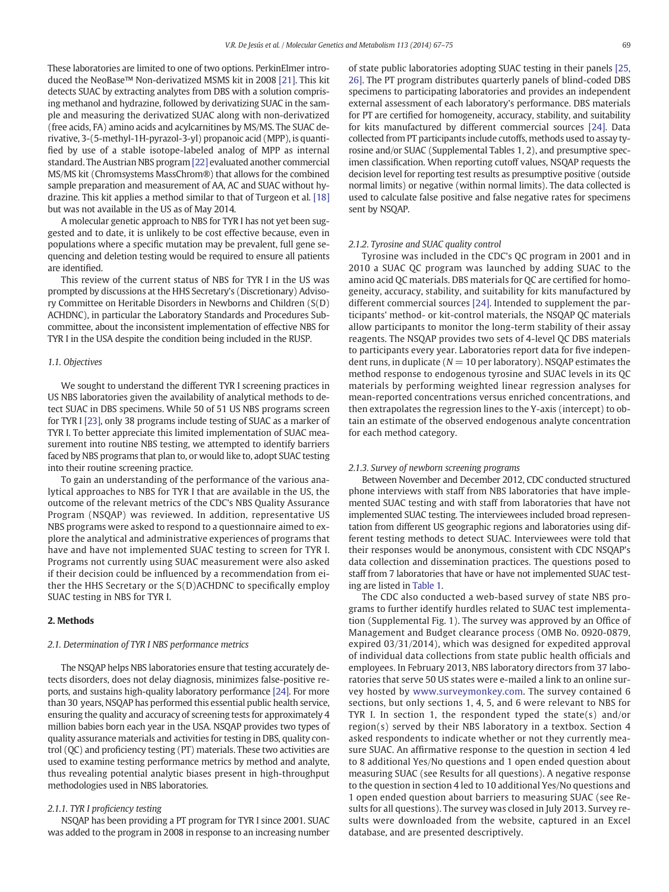These laboratories are limited to one of two options. PerkinElmer introduced the NeoBase™ Non-derivatized MSMS kit in 2008 [\[21\].](#page-8-0) This kit detects SUAC by extracting analytes from DBS with a solution comprising methanol and hydrazine, followed by derivatizing SUAC in the sample and measuring the derivatized SUAC along with non-derivatized (free acids, FA) amino acids and acylcarnitines by MS/MS. The SUAC derivative, 3-(5-methyl-1H-pyrazol-3-yl) propanoic acid (MPP), is quantified by use of a stable isotope-labeled analog of MPP as internal standard. The Austrian NBS program [\[22\]](#page-8-0) evaluated another commercial MS/MS kit (Chromsystems MassChrom®) that allows for the combined sample preparation and measurement of AA, AC and SUAC without hydrazine. This kit applies a method similar to that of Turgeon et al. [\[18\]](#page-8-0) but was not available in the US as of May 2014.

A molecular genetic approach to NBS for TYR I has not yet been suggested and to date, it is unlikely to be cost effective because, even in populations where a specific mutation may be prevalent, full gene sequencing and deletion testing would be required to ensure all patients are identified.

This review of the current status of NBS for TYR I in the US was prompted by discussions at the HHS Secretary's (Discretionary) Advisory Committee on Heritable Disorders in Newborns and Children (S(D) ACHDNC), in particular the Laboratory Standards and Procedures Subcommittee, about the inconsistent implementation of effective NBS for TYR I in the USA despite the condition being included in the RUSP.

## 1.1. Objectives

We sought to understand the different TYR I screening practices in US NBS laboratories given the availability of analytical methods to detect SUAC in DBS specimens. While 50 of 51 US NBS programs screen for TYR I [\[23\]](#page-8-0), only 38 programs include testing of SUAC as a marker of TYR I. To better appreciate this limited implementation of SUAC measurement into routine NBS testing, we attempted to identify barriers faced by NBS programs that plan to, or would like to, adopt SUAC testing into their routine screening practice.

To gain an understanding of the performance of the various analytical approaches to NBS for TYR I that are available in the US, the outcome of the relevant metrics of the CDC's NBS Quality Assurance Program (NSQAP) was reviewed. In addition, representative US NBS programs were asked to respond to a questionnaire aimed to explore the analytical and administrative experiences of programs that have and have not implemented SUAC testing to screen for TYR I. Programs not currently using SUAC measurement were also asked if their decision could be influenced by a recommendation from either the HHS Secretary or the S(D)ACHDNC to specifically employ SUAC testing in NBS for TYR I.

# 2. Methods

## 2.1. Determination of TYR I NBS performance metrics

The NSQAP helps NBS laboratories ensure that testing accurately detects disorders, does not delay diagnosis, minimizes false-positive reports, and sustains high-quality laboratory performance [\[24\]](#page-8-0). For more than 30 years, NSQAP has performed this essential public health service, ensuring the quality and accuracy of screening tests for approximately 4 million babies born each year in the USA. NSQAP provides two types of quality assurance materials and activities for testing in DBS, quality control (QC) and proficiency testing (PT) materials. These two activities are used to examine testing performance metrics by method and analyte, thus revealing potential analytic biases present in high-throughput methodologies used in NBS laboratories.

## 2.1.1. TYR I proficiency testing

NSQAP has been providing a PT program for TYR I since 2001. SUAC was added to the program in 2008 in response to an increasing number of state public laboratories adopting SUAC testing in their panels [\[25,](#page-8-0) [26\].](#page-8-0) The PT program distributes quarterly panels of blind-coded DBS specimens to participating laboratories and provides an independent external assessment of each laboratory's performance. DBS materials for PT are certified for homogeneity, accuracy, stability, and suitability for kits manufactured by different commercial sources [\[24\]](#page-8-0). Data collected from PT participants include cutoffs, methods used to assay tyrosine and/or SUAC (Supplemental Tables 1, 2), and presumptive specimen classification. When reporting cutoff values, NSQAP requests the decision level for reporting test results as presumptive positive (outside normal limits) or negative (within normal limits). The data collected is used to calculate false positive and false negative rates for specimens sent by NSQAP.

## 2.1.2. Tyrosine and SUAC quality control

Tyrosine was included in the CDC's QC program in 2001 and in 2010 a SUAC QC program was launched by adding SUAC to the amino acid QC materials. DBS materials for QC are certified for homogeneity, accuracy, stability, and suitability for kits manufactured by different commercial sources [\[24\].](#page-8-0) Intended to supplement the participants' method- or kit-control materials, the NSQAP QC materials allow participants to monitor the long-term stability of their assay reagents. The NSQAP provides two sets of 4-level QC DBS materials to participants every year. Laboratories report data for five independent runs, in duplicate ( $N = 10$  per laboratory). NSQAP estimates the method response to endogenous tyrosine and SUAC levels in its QC materials by performing weighted linear regression analyses for mean-reported concentrations versus enriched concentrations, and then extrapolates the regression lines to the Y-axis (intercept) to obtain an estimate of the observed endogenous analyte concentration for each method category.

## 2.1.3. Survey of newborn screening programs

Between November and December 2012, CDC conducted structured phone interviews with staff from NBS laboratories that have implemented SUAC testing and with staff from laboratories that have not implemented SUAC testing. The interviewees included broad representation from different US geographic regions and laboratories using different testing methods to detect SUAC. Interviewees were told that their responses would be anonymous, consistent with CDC NSQAP's data collection and dissemination practices. The questions posed to staff from 7 laboratories that have or have not implemented SUAC testing are listed in [Table 1](#page-3-0).

The CDC also conducted a web-based survey of state NBS programs to further identify hurdles related to SUAC test implementation (Supplemental Fig. 1). The survey was approved by an Office of Management and Budget clearance process (OMB No. 0920-0879, expired 03/31/2014), which was designed for expedited approval of individual data collections from state public health officials and employees. In February 2013, NBS laboratory directors from 37 laboratories that serve 50 US states were e-mailed a link to an online survey hosted by [www.surveymonkey.com.](http://www.surveymonkey.com) The survey contained 6 sections, but only sections 1, 4, 5, and 6 were relevant to NBS for TYR I. In section 1, the respondent typed the state(s) and/or region(s) served by their NBS laboratory in a textbox. Section 4 asked respondents to indicate whether or not they currently measure SUAC. An affirmative response to the question in section 4 led to 8 additional Yes/No questions and 1 open ended question about measuring SUAC (see Results for all questions). A negative response to the question in section 4 led to 10 additional Yes/No questions and 1 open ended question about barriers to measuring SUAC (see Results for all questions). The survey was closed in July 2013. Survey results were downloaded from the website, captured in an Excel database, and are presented descriptively.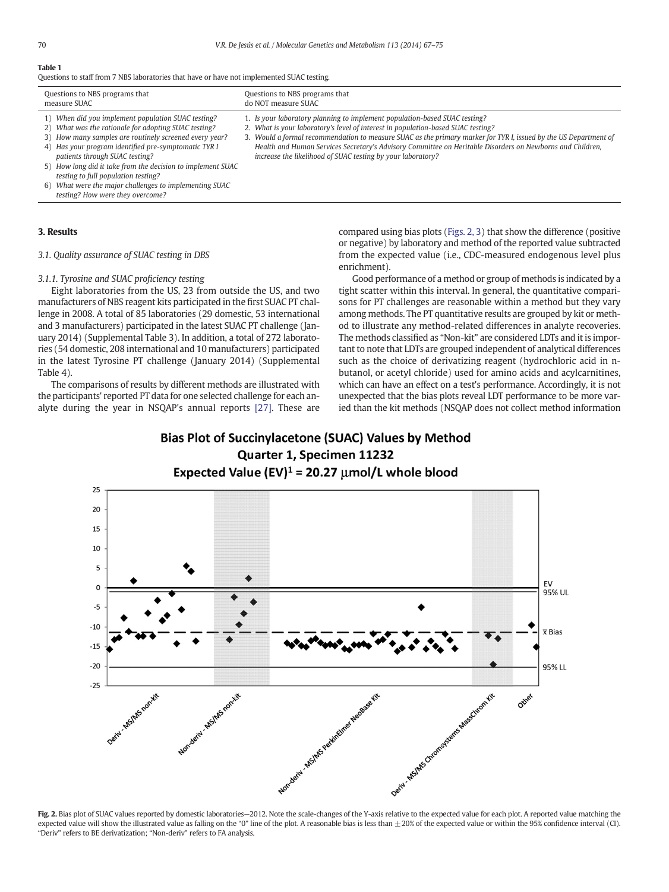# <span id="page-3-0"></span>Table 1

Questions to staff from 7 NBS laboratories that have or have not implemented SUAC testing.

| Questions to NBS programs that<br>measure SUAC                                                                                                                                                                                                                                                                                                                                                                                                                     | Questions to NBS programs that<br>do NOT measure SUAC                                                                                                                                                                                                                                                                                                                                                                                                          |
|--------------------------------------------------------------------------------------------------------------------------------------------------------------------------------------------------------------------------------------------------------------------------------------------------------------------------------------------------------------------------------------------------------------------------------------------------------------------|----------------------------------------------------------------------------------------------------------------------------------------------------------------------------------------------------------------------------------------------------------------------------------------------------------------------------------------------------------------------------------------------------------------------------------------------------------------|
| 1) When did you implement population SUAC testing?<br>2) What was the rationale for adopting SUAC testing?<br>3) How many samples are routinely screened every year?<br>4) Has your program identified pre-symptomatic TYR I<br>patients through SUAC testing?<br>5) How long did it take from the decision to implement SUAC<br>testing to full population testing?<br>6) What were the major challenges to implementing SUAC<br>testing? How were they overcome? | 1. Is your laboratory planning to implement population-based SUAC testing?<br>2. What is your laboratory's level of interest in population-based SUAC testing?<br>3. Would a formal recommendation to measure SUAC as the primary marker for TYR I, issued by the US Department of<br>Health and Human Services Secretary's Advisory Committee on Heritable Disorders on Newborns and Children,<br>increase the likelihood of SUAC testing by your laboratory? |
|                                                                                                                                                                                                                                                                                                                                                                                                                                                                    |                                                                                                                                                                                                                                                                                                                                                                                                                                                                |

# 3. Results

3.1. Quality assurance of SUAC testing in DBS

## 3.1.1. Tyrosine and SUAC proficiency testing

Eight laboratories from the US, 23 from outside the US, and two manufacturers of NBS reagent kits participated in the first SUAC PT challenge in 2008. A total of 85 laboratories (29 domestic, 53 international and 3 manufacturers) participated in the latest SUAC PT challenge (January 2014) (Supplemental Table 3). In addition, a total of 272 laboratories (54 domestic, 208 international and 10 manufacturers) participated in the latest Tyrosine PT challenge (January 2014) (Supplemental Table 4).

The comparisons of results by different methods are illustrated with the participants' reported PT data for one selected challenge for each analyte during the year in NSQAP's annual reports [\[27\].](#page-8-0) These are compared using bias plots (Figs. 2, 3) that show the difference (positive or negative) by laboratory and method of the reported value subtracted from the expected value (i.e., CDC-measured endogenous level plus enrichment).

Good performance of a method or group of methods is indicated by a tight scatter within this interval. In general, the quantitative comparisons for PT challenges are reasonable within a method but they vary among methods. The PT quantitative results are grouped by kit or method to illustrate any method-related differences in analyte recoveries. The methods classified as "Non-kit" are considered LDTs and it is important to note that LDTs are grouped independent of analytical differences such as the choice of derivatizing reagent (hydrochloric acid in nbutanol, or acetyl chloride) used for amino acids and acylcarnitines, which can have an effect on a test's performance. Accordingly, it is not unexpected that the bias plots reveal LDT performance to be more varied than the kit methods (NSQAP does not collect method information

# Bias Plot of Succinylacetone (SUAC) Values by Method Quarter 1, Specimen 11232 Expected Value  $(EV)^1 = 20.27 \mu mol/L$  whole blood



Fig. 2. Bias plot of SUAC values reported by domestic laboratories-2012. Note the scale-changes of the Y-axis relative to the expected value for each plot. A reported value matching the expected value will show the illustrated value as falling on the "0" line of the plot. A reasonable bias is less than  $\pm 20%$  of the expected value or within the 95% confidence interval (CI). "Deriv" refers to BE derivatization; "Non-deriv" refers to FA analysis.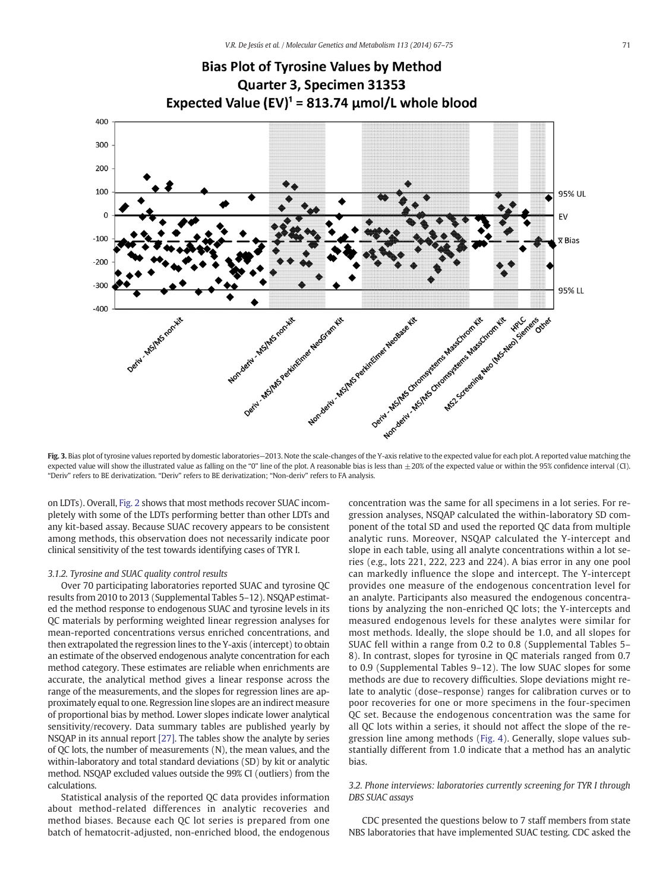

expected value will show the illustrated value as falling on the "0" line of the plot. A reasonable bias is less than  $\pm 20\%$  of the expected value or within the 95% confidence interval (CI). "Deriv" refers to BE derivatization. "Deriv" refers to BE derivatization; "Non-deriv" refers to FA analysis.

on LDTs). Overall, [Fig. 2](#page-3-0) shows that most methods recover SUAC incompletely with some of the LDTs performing better than other LDTs and any kit-based assay. Because SUAC recovery appears to be consistent among methods, this observation does not necessarily indicate poor clinical sensitivity of the test towards identifying cases of TYR I.

# 3.1.2. Tyrosine and SUAC quality control results

Over 70 participating laboratories reported SUAC and tyrosine QC results from 2010 to 2013 (Supplemental Tables 5–12). NSQAP estimated the method response to endogenous SUAC and tyrosine levels in its QC materials by performing weighted linear regression analyses for mean-reported concentrations versus enriched concentrations, and then extrapolated the regression lines to the Y-axis (intercept) to obtain an estimate of the observed endogenous analyte concentration for each method category. These estimates are reliable when enrichments are accurate, the analytical method gives a linear response across the range of the measurements, and the slopes for regression lines are approximately equal to one. Regression line slopes are an indirect measure of proportional bias by method. Lower slopes indicate lower analytical sensitivity/recovery. Data summary tables are published yearly by NSQAP in its annual report [\[27\].](#page-8-0) The tables show the analyte by series of QC lots, the number of measurements (N), the mean values, and the within-laboratory and total standard deviations (SD) by kit or analytic method. NSQAP excluded values outside the 99% CI (outliers) from the calculations.

Statistical analysis of the reported QC data provides information about method-related differences in analytic recoveries and method biases. Because each QC lot series is prepared from one batch of hematocrit-adjusted, non-enriched blood, the endogenous

concentration was the same for all specimens in a lot series. For regression analyses, NSQAP calculated the within-laboratory SD component of the total SD and used the reported QC data from multiple analytic runs. Moreover, NSQAP calculated the Y-intercept and slope in each table, using all analyte concentrations within a lot series (e.g., lots 221, 222, 223 and 224). A bias error in any one pool can markedly influence the slope and intercept. The Y-intercept provides one measure of the endogenous concentration level for an analyte. Participants also measured the endogenous concentrations by analyzing the non-enriched QC lots; the Y-intercepts and measured endogenous levels for these analytes were similar for most methods. Ideally, the slope should be 1.0, and all slopes for SUAC fell within a range from 0.2 to 0.8 (Supplemental Tables 5– 8). In contrast, slopes for tyrosine in QC materials ranged from 0.7 to 0.9 (Supplemental Tables 9–12). The low SUAC slopes for some methods are due to recovery difficulties. Slope deviations might relate to analytic (dose–response) ranges for calibration curves or to poor recoveries for one or more specimens in the four-specimen QC set. Because the endogenous concentration was the same for all QC lots within a series, it should not affect the slope of the regression line among methods ([Fig. 4](#page-5-0)). Generally, slope values substantially different from 1.0 indicate that a method has an analytic bias.

# 3.2. Phone interviews: laboratories currently screening for TYR I through DBS SUAC assays

CDC presented the questions below to 7 staff members from state NBS laboratories that have implemented SUAC testing. CDC asked the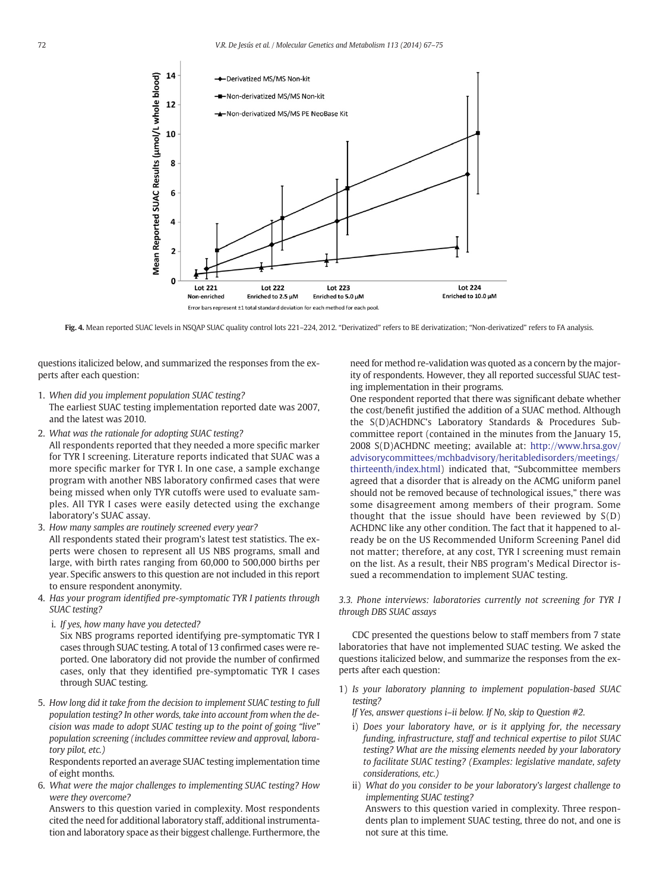<span id="page-5-0"></span>

Fig. 4. Mean reported SUAC levels in NSOAP SUAC quality control lots 221-224, 2012. "Derivatized" refers to BE derivatization; "Non-derivatized" refers to FA analysis.

questions italicized below, and summarized the responses from the experts after each question:

- 1. When did you implement population SUAC testing? The earliest SUAC testing implementation reported date was 2007, and the latest was 2010.
- 2. What was the rationale for adopting SUAC testing?

All respondents reported that they needed a more specific marker for TYR I screening. Literature reports indicated that SUAC was a more specific marker for TYR I. In one case, a sample exchange program with another NBS laboratory confirmed cases that were being missed when only TYR cutoffs were used to evaluate samples. All TYR I cases were easily detected using the exchange laboratory's SUAC assay.

- 3. How many samples are routinely screened every year? All respondents stated their program's latest test statistics. The experts were chosen to represent all US NBS programs, small and large, with birth rates ranging from 60,000 to 500,000 births per year. Specific answers to this question are not included in this report to ensure respondent anonymity.
- 4. Has your program identified pre-symptomatic TYR I patients through SUAC testing?
	- i. If yes, how many have you detected?

Six NBS programs reported identifying pre-symptomatic TYR I cases through SUAC testing. A total of 13 confirmed cases were reported. One laboratory did not provide the number of confirmed cases, only that they identified pre-symptomatic TYR I cases through SUAC testing.

5. How long did it take from the decision to implement SUAC testing to full population testing? In other words, take into account from when the decision was made to adopt SUAC testing up to the point of going "live" population screening (includes committee review and approval, laboratory pilot, etc.)

Respondents reported an average SUAC testing implementation time of eight months.

6. What were the major challenges to implementing SUAC testing? How were they overcome?

Answers to this question varied in complexity. Most respondents cited the need for additional laboratory staff, additional instrumentation and laboratory space as their biggest challenge. Furthermore, the

need for method re-validation was quoted as a concern by the majority of respondents. However, they all reported successful SUAC testing implementation in their programs.

One respondent reported that there was significant debate whether the cost/benefit justified the addition of a SUAC method. Although the S(D)ACHDNC's Laboratory Standards & Procedures Subcommittee report (contained in the minutes from the January 15, 2008 S(D)ACHDNC meeting; available at: [http://www.hrsa.gov/](http://www.hrsa.gov/advisorycommittees/mchbadvisory/heritabledisorders/meetings/thirteenth/index.html) [advisorycommittees/mchbadvisory/heritabledisorders/meetings/](http://www.hrsa.gov/advisorycommittees/mchbadvisory/heritabledisorders/meetings/thirteenth/index.html) [thirteenth/index.html](http://www.hrsa.gov/advisorycommittees/mchbadvisory/heritabledisorders/meetings/thirteenth/index.html)) indicated that, "Subcommittee members agreed that a disorder that is already on the ACMG uniform panel should not be removed because of technological issues," there was some disagreement among members of their program. Some thought that the issue should have been reviewed by S(D) ACHDNC like any other condition. The fact that it happened to already be on the US Recommended Uniform Screening Panel did not matter; therefore, at any cost, TYR I screening must remain on the list. As a result, their NBS program's Medical Director issued a recommendation to implement SUAC testing.

3.3. Phone interviews: laboratories currently not screening for TYR I through DBS SUAC assays

CDC presented the questions below to staff members from 7 state laboratories that have not implemented SUAC testing. We asked the questions italicized below, and summarize the responses from the experts after each question:

- 1) Is your laboratory planning to implement population-based SUAC testing?
	- If Yes, answer questions i–ii below. If No, skip to Question #2.
	- i) Does your laboratory have, or is it applying for, the necessary funding, infrastructure, staff and technical expertise to pilot SUAC testing? What are the missing elements needed by your laboratory to facilitate SUAC testing? (Examples: legislative mandate, safety considerations, etc.)
	- ii) What do you consider to be your laboratory's largest challenge to implementing SUAC testing?

Answers to this question varied in complexity. Three respondents plan to implement SUAC testing, three do not, and one is not sure at this time.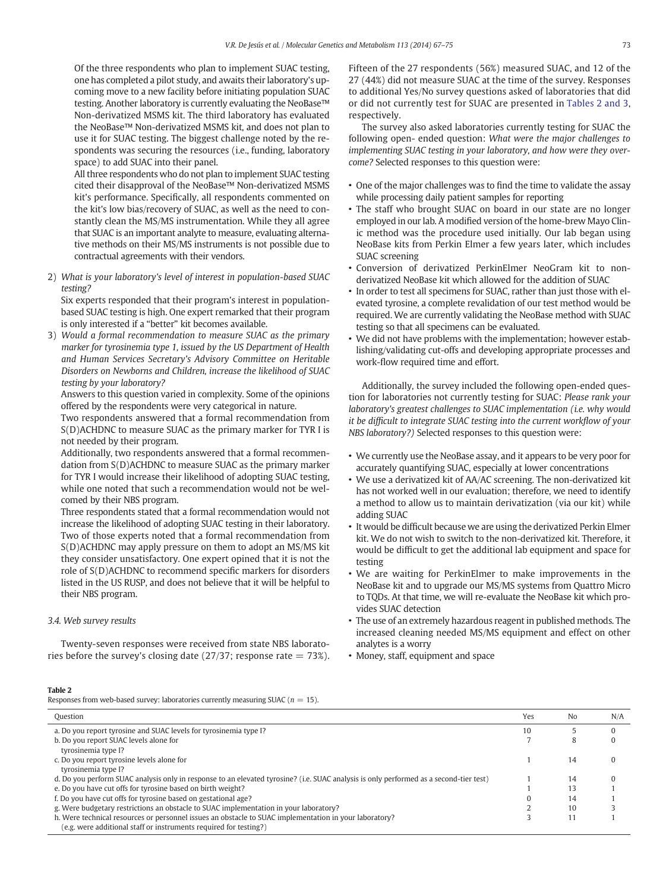<span id="page-6-0"></span>Of the three respondents who plan to implement SUAC testing, one has completed a pilot study, and awaits their laboratory's upcoming move to a new facility before initiating population SUAC testing. Another laboratory is currently evaluating the NeoBase™ Non-derivatized MSMS kit. The third laboratory has evaluated the NeoBase™ Non-derivatized MSMS kit, and does not plan to use it for SUAC testing. The biggest challenge noted by the respondents was securing the resources (i.e., funding, laboratory space) to add SUAC into their panel.

All three respondents who do not plan to implement SUAC testing cited their disapproval of the NeoBase™ Non-derivatized MSMS kit's performance. Specifically, all respondents commented on the kit's low bias/recovery of SUAC, as well as the need to constantly clean the MS/MS instrumentation. While they all agree that SUAC is an important analyte to measure, evaluating alternative methods on their MS/MS instruments is not possible due to contractual agreements with their vendors.

2) What is your laboratory's level of interest in population-based SUAC testing?

Six experts responded that their program's interest in populationbased SUAC testing is high. One expert remarked that their program is only interested if a "better" kit becomes available.

3) Would a formal recommendation to measure SUAC as the primary marker for tyrosinemia type 1, issued by the US Department of Health and Human Services Secretary's Advisory Committee on Heritable Disorders on Newborns and Children, increase the likelihood of SUAC testing by your laboratory?

Answers to this question varied in complexity. Some of the opinions offered by the respondents were very categorical in nature.

Two respondents answered that a formal recommendation from S(D)ACHDNC to measure SUAC as the primary marker for TYR I is not needed by their program.

Additionally, two respondents answered that a formal recommendation from S(D)ACHDNC to measure SUAC as the primary marker for TYR I would increase their likelihood of adopting SUAC testing, while one noted that such a recommendation would not be welcomed by their NBS program.

Three respondents stated that a formal recommendation would not increase the likelihood of adopting SUAC testing in their laboratory. Two of those experts noted that a formal recommendation from S(D)ACHDNC may apply pressure on them to adopt an MS/MS kit they consider unsatisfactory. One expert opined that it is not the role of S(D)ACHDNC to recommend specific markers for disorders listed in the US RUSP, and does not believe that it will be helpful to their NBS program.

## 3.4. Web survey results

Twenty-seven responses were received from state NBS laboratories before the survey's closing date  $(27/37)$ ; response rate = 73%). Fifteen of the 27 respondents (56%) measured SUAC, and 12 of the 27 (44%) did not measure SUAC at the time of the survey. Responses to additional Yes/No survey questions asked of laboratories that did or did not currently test for SUAC are presented in Tables 2 and 3, respectively.

The survey also asked laboratories currently testing for SUAC the following open- ended question: What were the major challenges to implementing SUAC testing in your laboratory, and how were they overcome? Selected responses to this question were:

- One of the major challenges was to find the time to validate the assay while processing daily patient samples for reporting
- The staff who brought SUAC on board in our state are no longer employed in our lab. A modified version of the home-brew Mayo Clinic method was the procedure used initially. Our lab began using NeoBase kits from Perkin Elmer a few years later, which includes SUAC screening
- Conversion of derivatized PerkinElmer NeoGram kit to nonderivatized NeoBase kit which allowed for the addition of SUAC
- In order to test all specimens for SUAC, rather than just those with elevated tyrosine, a complete revalidation of our test method would be required. We are currently validating the NeoBase method with SUAC testing so that all specimens can be evaluated.
- We did not have problems with the implementation; however establishing/validating cut-offs and developing appropriate processes and work-flow required time and effort.

Additionally, the survey included the following open-ended question for laboratories not currently testing for SUAC: Please rank your laboratory's greatest challenges to SUAC implementation (i.e. why would it be difficult to integrate SUAC testing into the current workflow of your NBS laboratory?) Selected responses to this question were:

- We currently use the NeoBase assay, and it appears to be very poor for accurately quantifying SUAC, especially at lower concentrations
- We use a derivatized kit of AA/AC screening. The non-derivatized kit has not worked well in our evaluation; therefore, we need to identify a method to allow us to maintain derivatization (via our kit) while adding SUAC
- It would be difficult because we are using the derivatized Perkin Elmer kit. We do not wish to switch to the non-derivatized kit. Therefore, it would be difficult to get the additional lab equipment and space for testing
- We are waiting for PerkinElmer to make improvements in the NeoBase kit and to upgrade our MS/MS systems from Quattro Micro to TQDs. At that time, we will re-evaluate the NeoBase kit which provides SUAC detection
- The use of an extremely hazardous reagent in published methods. The increased cleaning needed MS/MS equipment and effect on other analytes is a worry
- Money, staff, equipment and space

#### Table 2

Responses from web-based survey: laboratories currently measuring SUAC ( $n = 15$ ).

| Ouestion                                                                                                                               | Yes | No | N/A |
|----------------------------------------------------------------------------------------------------------------------------------------|-----|----|-----|
| a. Do you report tyrosine and SUAC levels for tyrosinemia type I?                                                                      | 10  |    |     |
| b. Do you report SUAC levels alone for                                                                                                 |     |    |     |
| tyrosinemia type I?                                                                                                                    |     |    |     |
| c. Do you report tyrosine levels alone for                                                                                             |     | 14 |     |
| tyrosinemia type I?                                                                                                                    |     |    |     |
| d. Do you perform SUAC analysis only in response to an elevated tyrosine? (i.e. SUAC analysis is only performed as a second-tier test) |     | 14 |     |
| e. Do you have cut offs for tyrosine based on birth weight?                                                                            |     |    |     |
| f. Do you have cut offs for tyrosine based on gestational age?                                                                         |     | 14 |     |
| g. Were budgetary restrictions an obstacle to SUAC implementation in your laboratory?                                                  |     | 10 |     |
| h. Were technical resources or personnel issues an obstacle to SUAC implementation in your laboratory?                                 |     |    |     |
| (e.g. were additional staff or instruments required for testing?)                                                                      |     |    |     |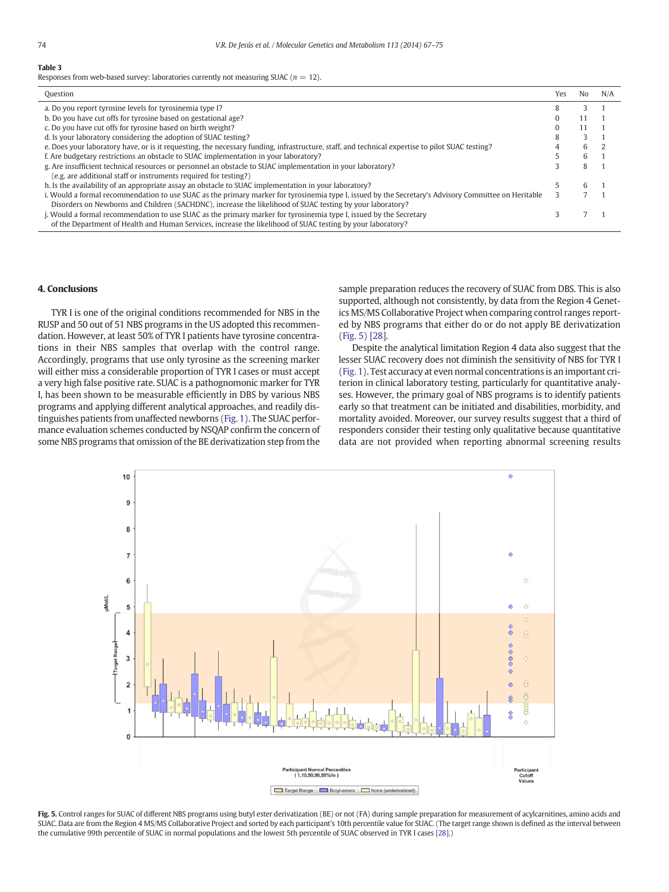# Table 3

|  |  | Responses from web-based survey: laboratories currently not measuring SUAC ( $n = 12$ ). |  |
|--|--|------------------------------------------------------------------------------------------|--|
|  |  |                                                                                          |  |

| Question                                                                                                                                             | Yes | No. | N/A |
|------------------------------------------------------------------------------------------------------------------------------------------------------|-----|-----|-----|
| a. Do you report tyrosine levels for tyrosinemia type I?                                                                                             |     |     |     |
| b. Do you have cut offs for tyrosine based on gestational age?                                                                                       |     |     |     |
| c. Do you have cut offs for tyrosine based on birth weight?                                                                                          |     | 11  |     |
| d. Is your laboratory considering the adoption of SUAC testing?                                                                                      |     |     |     |
| e. Does your laboratory have, or is it requesting, the necessary funding, infrastructure, staff, and technical expertise to pilot SUAC testing?      |     | 6   |     |
| f. Are budgetary restrictions an obstacle to SUAC implementation in your laboratory?                                                                 |     | 6   |     |
| g. Are insufficient technical resources or personnel an obstacle to SUAC implementation in your laboratory?                                          |     | 8   |     |
| (e.g. are additional staff or instruments required for testing?)                                                                                     |     |     |     |
| h. Is the availability of an appropriate assay an obstacle to SUAC implementation in your laboratory?                                                |     | 6   |     |
| i. Would a formal recommendation to use SUAC as the primary marker for tyrosinemia type I, issued by the Secretary's Advisory Committee on Heritable |     |     |     |
| Disorders on Newborns and Children (SACHDNC), increase the likelihood of SUAC testing by your laboratory?                                            |     |     |     |
| j. Would a formal recommendation to use SUAC as the primary marker for tyrosinemia type I, issued by the Secretary                                   |     |     |     |
| of the Department of Health and Human Services, increase the likelihood of SUAC testing by your laboratory?                                          |     |     |     |

# 4. Conclusions

TYR I is one of the original conditions recommended for NBS in the RUSP and 50 out of 51 NBS programs in the US adopted this recommendation. However, at least 50% of TYR I patients have tyrosine concentrations in their NBS samples that overlap with the control range. Accordingly, programs that use only tyrosine as the screening marker will either miss a considerable proportion of TYR I cases or must accept a very high false positive rate. SUAC is a pathognomonic marker for TYR I, has been shown to be measurable efficiently in DBS by various NBS programs and applying different analytical approaches, and readily distinguishes patients from unaffected newborns ([Fig. 1\)](#page-1-0). The SUAC performance evaluation schemes conducted by NSQAP confirm the concern of some NBS programs that omission of the BE derivatization step from the

sample preparation reduces the recovery of SUAC from DBS. This is also supported, although not consistently, by data from the Region 4 Genetics MS/MS Collaborative Project when comparing control ranges reported by NBS programs that either do or do not apply BE derivatization (Fig. 5) [\[28\].](#page-8-0)

Despite the analytical limitation Region 4 data also suggest that the lesser SUAC recovery does not diminish the sensitivity of NBS for TYR I [\(Fig. 1](#page-1-0)). Test accuracy at even normal concentrations is an important criterion in clinical laboratory testing, particularly for quantitative analyses. However, the primary goal of NBS programs is to identify patients early so that treatment can be initiated and disabilities, morbidity, and mortality avoided. Moreover, our survey results suggest that a third of responders consider their testing only qualitative because quantitative data are not provided when reporting abnormal screening results



Fig. 5. Control ranges for SUAC of different NBS programs using butyl ester derivatization (BE) or not (FA) during sample preparation for measurement of acylcarnitines, amino acids and SUAC. Data are from the Region 4 MS/MS Collaborative Project and sorted by each participant's 10th percentile value for SUAC. (The target range shown is defined as the interval between the cumulative 99th percentile of SUAC in normal populations and the lowest 5th percentile of SUAC observed in TYR I cases [\[28\].](#page-8-0))